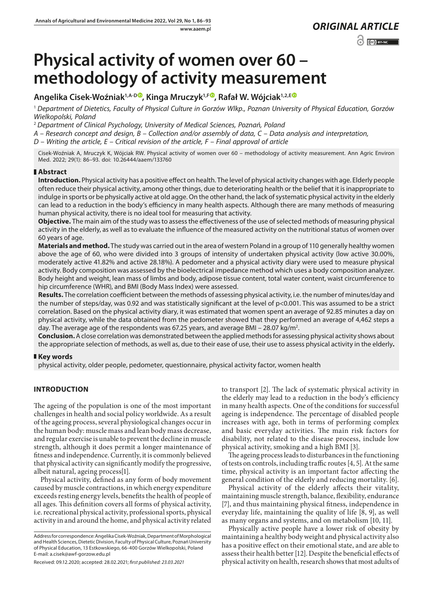# www.aaem.pl *ORIGINAL [ARTICLE](https://creativecommons.org/licenses/by-nc/3.0/pl/deed.en)*   $\odot$   $\odot$  BY-NC

# **Physical activity of women over 60 – methodology of activity measurement**

## **Angelika Cisek-Woźniak1,A-D [,](https://orcid.org/0000-0001-8194-7500) Kinga Mruczyk1,F [,](https://orcid.org/0000-0003-3384-8481) Rafał W. Wójciak1,2,E**

<sup>1</sup> *Department of Dietetics, Faculty of Physical Culture in Gorzów Wlkp., Poznan University of Physical Education, Gorzów Wielkopolski, Poland*

<sup>2</sup> *Department of Clinical Psychology, University of Medical Sciences, Poznań, Poland*

*A – Research concept and design, B – Collection and/or assembly of data, C – Data analysis and interpretation,* 

*D – Writing the article, E – Critical revision of the article, F – Final approval of article*

Cisek-Woźniak A, Mruczyk K, Wójciak RW. Physical activity of women over 60 – methodology of activity measurement. Ann Agric Environ Med. 2022; 29(1): 86–93. doi: 10.26444/aaem/133760

#### **Abstract**

**Introduction.** Physical activity has a positive effect on health. The level of physical activity changes with age. Elderly people often reduce their physical activity, among other things, due to deteriorating health or the belief that it is inappropriate to indulge in sports or be physically active at old agge. On the other hand, the lack of systematic physical activity in the elderly can lead to a reduction in the body's efficiency in many health aspects. Although there are many methods of measuring human physical activity, there is no ideal tool for measuring that activity.

**Objective.** The main aim of the study was to assess the effectiveness of the use of selected methods of measuring physical activity in the elderly, as well as to evaluate the influence of the measured activity on the nutritional status of women over 60 years of age.

**Materials and method.** The study was carried out in the area of western Poland in a group of 110 generally healthy women above the age of 60, who were divided into 3 groups of intensity of undertaken physical activity (low active 30.00%, moderately active 41.82% and active 28.18%). A pedometer and a physical activity diary were used to measure physical activity. Body composition was assessed by the bioelectrical impedance method which uses a body composition analyzer. Body height and weight, lean mass of limbs and body, adipose tissue content, total water content, waist circumference to hip circumference (WHR), and BMI (Body Mass Index) were assessed.

**Results.** The correlation coefficient between the methods of assessing physical activity, i.e. the number of minutes/day and the number of steps/day, was 0.92 and was statistically significant at the level of p<0.001. This was assumed to be a strict correlation. Based on the physical activity diary, it was estimated that women spent an average of 92.85 minutes a day on physical activity, while the data obtained from the pedometer showed that they performed an average of 4,462 steps a day. The average age of the respondents was 67.25 years, and average BMI – 28.07 kg/m<sup>2</sup>.

**Conclusion.** A close correlation was demonstrated between the applied methods for assessing physical activity shows about the appropriate selection of methods, as well as, due to their ease of use, their use to assess physical activity in the elderly**.**

#### **Key words**

physical activity, older people, pedometer, questionnaire, physical activity factor, women health

#### **INTRODUCTION**

The ageing of the population is one of the most important challenges in health and social policy worldwide. As a result of the ageing process, several physiological changes occur in the human body: muscle mass and lean body mass decrease, and regular exercise is unable to prevent the decline in muscle strength, although it does permit a longer maintenance of fitness and independence. Currently, it is commonly believed that physical activity can significantly modify the progressive, albeit natural, ageing process[1].

Physical activity, defined as any form of body movement caused by muscle contractions, in which energy expenditure exceeds resting energy levels, benefits the health of people of all ages. This definition covers all forms of physical activity, i.e. recreational physical activity, professional sports, physical activity in and around the home, and physical activity related

Address for correspondence: Angelika Cisek-Woźniak, Department of Morphological and Health Sciences, Dietetic Division, Faculty of Physical Culture, Poznań University of Physical Education, 13 Estkowskiego, 66-400 Gorzów Wielkopolski, Poland E-mail: a.cisek@awf-gorzow.edu.pl

to transport [2]. The lack of systematic physical activity in the elderly may lead to a reduction in the body's efficiency in many health aspects. One of the conditions for successful ageing is independence. The percentage of disabled people increases with age, both in terms of performing complex and basic everyday activities. The main risk factors for disability, not related to the disease process, include low physical activity, smoking and a high BMI [3].

The ageing process leads to disturbances in the functioning of tests on controls, including traffic routes [4, 5]. At the same time, physical activity is an important factor affecting the general condition of the elderly and reducing mortality. [6].

Physical activity of the elderly affects their vitality, maintaining muscle strength, balance, flexibility, endurance [7], and thus maintaining physical fitness, independence in everyday life, maintaining the quality of life [8, 9], as well as many organs and systems, and on metabolism [10, 11].

Physically active people have a lower risk of obesity by maintaining a healthy body weight and physical activity also has a positive effect on their emotional state, and are able to assess their health better [12]. Despite the beneficial effects of physical activity on health, research shows that most adults of

Received: 09.12.2020; accepted: 28.02.2021; *first published: 23.03.2021*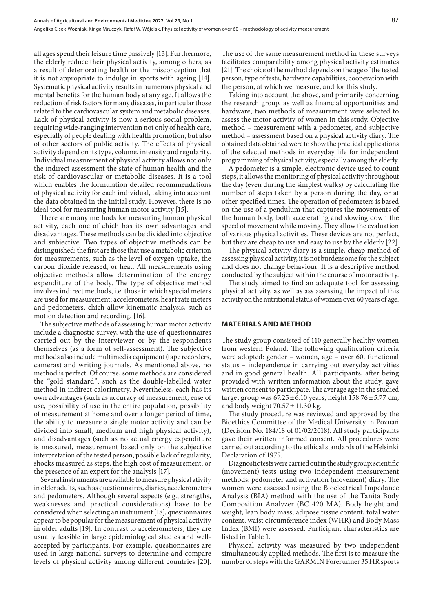all ages spend their leisure time passively [13]. Furthermore, the elderly reduce their physical activity, among others, as a result of deteriorating health or the misconception that it is not appropriate to indulge in sports with ageing [14]. Systematic physical activity results in numerous physical and mental benefits for the human body at any age. It allows the reduction of risk factors for many diseases, in particular those related to the cardiovascular system and metabolic diseases. Lack of physical activity is now a serious social problem, requiring wide-ranging intervention not only of health care, especially of people dealing with health promotion, but also of other sectors of public activity. The effects of physical activity depend on its type, volume, intensity and regularity. Individual measurement of physical activity allows not only the indirect assessment the state of human health and the risk of cardiovascular or metabolic diseases. It is a tool which enables the formulation detailed recommendations of physical activity for each individual, taking into account the data obtained in the initial study. However, there is no ideal tool for measuring human motor activity [15].

There are many methods for measuring human physical activity, each one of chich has its own advantages and disadvantages. These methods can be divided into objective and subjective. Two types of objective methods can be distinguished: the first are those that use a metabolic criterion for measurements, such as the level of oxygen uptake, the carbon dioxide released, or heat. All measurements using objective methods allow determination of the energy expenditure of the body. The type of objective method involves indirect methods, i.e. those in which special meters are used for measurement: accelerometers, heart rate meters and pedometers, chich allow kinematic analysis, such as motion detection and recording, [16].

The subjective methods of assessing human motor activity include a diagnostic survey, with the use of questionnaires carried out by the interviewer or by the respondents themselves (as a form of self-assessment). The subjective methods also include multimedia equipment (tape recorders, cameras) and writing journals. As mentioned above, no method is perfect. Of course, some methods are considered the "gold standard", such as the double-labelled water method in indirect calorimetry. Nevertheless, each has its own advantages (such as accuracy of measurement, ease of use, possibility of use in the entire population, possibility of measurement at home and over a longer period of time, the ability to measure a single motor activity and can be divided into small, medium and high physical activity), and disadvantages (such as no actual energy expenditure is measured, measurement based only on the subjective interpretation of the tested person, possible lack of regularity, shocks measured as steps, the high cost of measurement, or the presence of an expert for the analysis [17].

Several instruments are available to measure physical ativity in older adults, such as questionnaires, diaries, accelerometers and pedometers. Although several aspects (e.g., strengths, weaknesses and practical considerations) have to be considered when selecting an instrument [18], questionnaires appear to be popular for the measurement of physical activity in older adults [19]. In contrast to accelerometers, they are usually feasible in large epidemiological studies and wellaccepted by participants. For example, questionnaires are used in large national surveys to determine and compare levels of physical activity among different countries [20].

The use of the same measurement method in these surveys facilitates comparability among physical activity estimates [21]. The choice of the method depends on the age of the tested person, type of tests, hardware capabilities, cooperation with the person, at which we measure, and for this study.

Taking into account the above, and primarily concerning the research group, as well as financial opportunities and hardware, two methods of measurement were selected to assess the motor activity of women in this study. Objective method – measurement with a pedometer, and subjective method – assessment based on a physical activity diary. The obtained data obtained were to show the practical applications of the selected methods in everyday life for independent programming of physical activity, especially among the elderly.

A pedometer is a simple, electronic device used to count steps, it allows the monitoring of physical activity throughout the day (even during the simplest walks) by calculating the number of steps taken by a person during the day, or at other specified times. The operation of pedometers is based on the use of a pendulum that captures the movements of the human body, both accelerating and slowing down the speed of movement while moving. They allow the evaluation of various physical activities. These devices are not perfect, but they are cheap to use and easy to use by the elderly [22].

The physical activity diary is a simple, cheap method of assessing physical activity, it is not burdensome for the subject and does not change behaviour. It is a descriptive method conducted by the subject within the course of motor activity.

The study aimed to find an adequate tool for assessing physical activity, as well as ass assessing the impact of this activity on the nutritional status of women over 60 years of age.

#### **MATERIALS AND METHOD**

The study group consisted of 110 generally healthy women from western Poland. The following qualification criteria were adopted: gender – women, age – over 60, functional status – independence in carrying out everyday activities and in good general health. All participants, after being provided with written information about the study, gave written consent to participate. The average age in the studied target group was  $67.25 \pm 6.10$  years, height  $158.76 \pm 5.77$  cm, and body weight  $70.57 \pm 11.30$  kg.

The study procedure was reviewed and approved by the Bioethics Committee of the Medical University in Poznań (Decision No. 184/18 of 01/02/2018). All study participants gave their written informed consent. All procedures were carried out according to the ethical standards of the Helsinki Declaration of 1975.

Diagnostic tests were carried out in the study group: scientific (movement) tests using two independent measurement methods: pedometer and activation (movement) diary. The women were assessed using the Bioelectrical Impedance Analysis (BIA) method with the use of the Tanita Body Composition Analyzer (BC 420 MA). Body height and weight, lean body mass, adipose tissue content, total water content, waist circumference index (WHR) and Body Mass Index (BMI) were assessed. Participant characteristics are listed in Table 1.

Physical activity was measured by two independent simultaneously applied methods. The first is to measure the number of steps with the GARMIN Forerunner 35 HR sports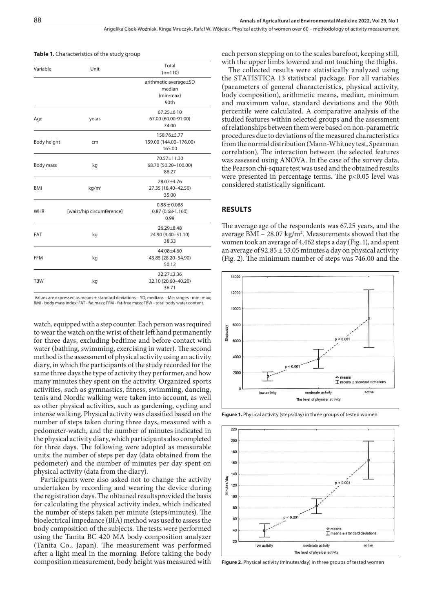Angelika Cisek-Woźniak, Kinga Mruczyk, Rafał W. Wójciak . Physical activity of women over 60 – methodology of activity measurement

| Variable    | Unit                      | Total<br>$(n=110)$                                   |  |  |
|-------------|---------------------------|------------------------------------------------------|--|--|
|             |                           | arithmetic average±SD<br>median<br>(min-max)<br>90th |  |  |
| Age         | years                     | $67.25 \pm 6.10$<br>67.00 (60.00-91.00)<br>74.00     |  |  |
| Body height | cm                        | 158.76±5.77<br>159.00 (144.00-176.00)<br>165.00      |  |  |
| Body mass   | kg                        | 70.57±11.30<br>68.70 (50.20-100.00)<br>86.27         |  |  |
| <b>BMI</b>  | kg/m <sup>2</sup>         | 28.07±4.76<br>27.35 (18.40-42.50)<br>35.00           |  |  |
| <b>WHR</b>  | [waist/hip circumference] | $0.88 \pm 0.088$<br>$0.87(0.68 - 1.160)$<br>0.99     |  |  |
| <b>FAT</b>  | kg                        | $26.29 \pm 8.48$<br>24.90 (9.40-51.10)<br>38.33      |  |  |
| <b>FFM</b>  | kg                        | 44.08±4.60<br>43.85 (28.20-54.90)<br>50.12           |  |  |
| <b>TBW</b>  | kg                        | $32.27 \pm 3.36$<br>32.10 (20.60-40.20)<br>36.71     |  |  |

**Table 1.** Characteristics of the study group

 Values are expressed as means ± standard deviations – SD; medians – Me; ranges - min–max; BMI - body mass index; FAT - fat mass; FFM - fat-free mass; TBW - total body water content.

watch, equipped with a step counter. Each person was required to wear the watch on the wrist of their left hand permanently for three days, excluding bedtime and before contact with water (bathing, swimming, exercising in water). The second method is the assessment of physical activity using an activity diary, in which the participants of the study recorded for the same three days the type of activity they performer, and how many minutes they spent on the activity. Organized sports activities, such as gymnastics, fitness, swimming, dancing, tenis and Nordic walking were taken into account, as well as other physical activities, such as gardening, cycling and intense walking. Physical activity was classified based on the number of steps taken during three days, measured with a pedometer-watch, and the number of minutes indicated in the physical activity diary, which participants also completed for three days. The following were adopted as measurable units: the number of steps per day (data obtained from the pedometer) and the number of minutes per day spent on physical activity (data from the diary).

Participants were also asked not to change the activity undertaken by recording and wearing the device during the registration days. The obtained resultsprovided the basis for calculating the physical activity index, which indicated the number of steps taken per minute (steps/minutes). The bioelectrical impedance (BIA) method was used to assess the body composition of the subjects. The tests were performed using the Tanita BC 420 MA body composition analyzer (Tanita Co., Japan). The measurement was performed after a light meal in the morning. Before taking the body composition measurement, body height was measured with each person stepping on to the scales barefoot, keeping still, with the upper limbs lowered and not touching the thighs.

The collected results were statistically analyzed using the STATISTICA 13 statistical package. For all variables (parameters of general characteristics, physical activity, body composition), arithmetic means, median, minimum and maximum value, standard deviations and the 90th percentile were calculated. A comparative analysis of the studied features within selected groups and the assessment of relationships between them were based on non-parametric procedures due to deviations of the measured characteristics from the normal distribution (Mann-Whitney test, Spearman correlation). The interaction between the selected features was assessed using ANOVA. In the case of the survey data, the Pearson chi-square test was used and the obtained results were presented in percentage terms. The p<0.05 level was considered statistically significant.

#### **RESULTS**

The average age of the respondents was 67.25 years, and the average  $BMI - 28.07 \text{ kg/m}^2$ . Measurements showed that the women took an average of 4,462 steps a day (Fig. 1), and spent an average of  $92.85 \pm 53.05$  minutes a day on physical activity (Fig. 2). The minimum number of steps was 746.00 and the



Figure 1. Physical activity (steps/day) in three groups of tested women



**Figure 2.** Physical activity (minutes/day) in three groups of tested women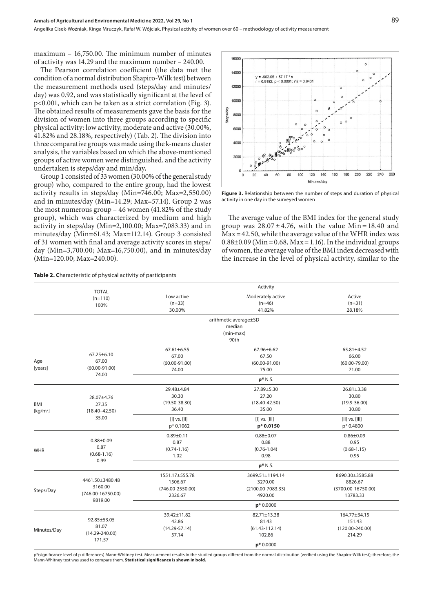maximum – 16,750.00. The minimum number of minutes of activity was 14.29 and the maximum number – 240.00.

The Pearson correlation coefficient (the data met the condition of a normal distribution Shapiro-Wilk test) between the measurement methods used (steps/day and minutes/ day) was 0.92, and was statistically significant at the level of p<0.001, which can be taken as a strict correlation (Fig. 3). The obtained results of measurements gave the basis for the division of women into three groups according to specific physical activity: low activity, moderate and active (30.00%, 41.82% and 28.18%, respectively) (Tab. 2). The division into three comparative groups was made using the k-means cluster analysis, the variables based on which the above-mentioned groups of active women were distinguished, and the activity undertaken is steps/day and min/day**.**

Group 1 consisted of 33 women (30.00% of the general study group) who, compared to the entire group, had the lowest activity results in steps/day (Min=746.00; Max=2,550.00) and in minutes/day (Min=14.29; Max=57.14). Group 2 was the most numerous group – 46 women (41.82% of the study group), which was characterized by medium and high activity in steps/day (Min=2,100.00; Max=7,083.33) and in minutes/day (Min=61.43; Max=112.14). Group 3 consisted of 31 women with final and average activity scores in steps/ day (Min=3,700.00; Max=16,750.00), and in minutes/day (Min=120.00; Max=240.00).



**Figure 3.** Relationship between the number of steps and duration of physical activity in one day in the surveyed women

The average value of the BMI index for the general study group was  $28.07 \pm 4.76$ , with the value Min=18.40 and  $Max = 42.50$ , while the average value of the WHR index was  $0.88\pm0.09$  (Min = 0.68, Max = 1.16). In the individual groups of women, the average value of the BMI index decreased with the increase in the level of physical activity, similar to the

|                      | <b>TOTAL</b><br>$(n=110)$<br>100%                       | Activity             |                       |                        |  |  |
|----------------------|---------------------------------------------------------|----------------------|-----------------------|------------------------|--|--|
|                      |                                                         | Low active           | Moderately active     | Active                 |  |  |
|                      |                                                         | $(n=33)$             | $(n=46)$              | $(n=31)$               |  |  |
|                      |                                                         | 30.00%               | 41.82%                | 28.18%                 |  |  |
|                      |                                                         |                      | arithmetic average±SD |                        |  |  |
|                      |                                                         |                      | median                |                        |  |  |
|                      |                                                         |                      | (min-max)             |                        |  |  |
|                      |                                                         |                      | 90th                  |                        |  |  |
|                      |                                                         | $67.61 \pm 6.55$     | $67.96 \pm 6.62$      | 65.81±4.52             |  |  |
|                      | $67.25 \pm 6.10$<br>67.00<br>$(60.00 - 91.00)$<br>74.00 | 67.00                | 67.50                 | 66.00                  |  |  |
| Age                  |                                                         | $(60.00 - 91.00)$    | $(60.00 - 91.00)$     | $(60.00 - 79.00)$      |  |  |
| [years]              |                                                         | 74.00                | 75.00                 | 71.00                  |  |  |
|                      |                                                         |                      | $p*$ N.S.             |                        |  |  |
|                      |                                                         | 29.48±4.84           | 27.89±5.30            | 26.81±3.38             |  |  |
|                      | 28.07±4.76                                              | 30.30                | 27.20                 | 30.80                  |  |  |
| <b>BMI</b>           | 27.35                                                   | $(19.50 - 38.30)$    | $(18.40 - 42.50)$     | $(19.9 - 36.00)$       |  |  |
| [kg/m <sup>2</sup> ] | $(18.40 - 42.50)$<br>35.00                              | 36.40                | 35.00                 | 30.80                  |  |  |
|                      |                                                         | $[1]$ vs. $[1]$      | $[1]$ vs. $[1]$       | $[  ]$ vs. $[   ]$     |  |  |
|                      |                                                         | p* 0.1062            | p* 0.0150             | p* 0.4800              |  |  |
|                      |                                                         | $0.89 + 0.11$        | $0.88 + 0.07$         | $0.86 \pm 0.09$        |  |  |
| <b>WHR</b>           | $0.88 + 0.09$                                           | 0.87                 | 0.88                  | 0.95                   |  |  |
|                      | 0.87<br>$(0.68 - 1.16)$<br>0.99                         | $(0.74 - 1.16)$      | $(0.76 - 1.04)$       | $(0.68 - 1.15)$        |  |  |
|                      |                                                         | 1.02                 | 0.98                  | 0.95                   |  |  |
|                      |                                                         |                      | $p*$ N.S.             |                        |  |  |
|                      |                                                         | 1551.17±555.78       | 3699.51±1194.14       | 8690.30±3585.88        |  |  |
| Steps/Day            | 4461.50±3480.48<br>3160.00<br>$(746.00 - 16750.00)$     | 1506.67              | 3270.00               | 8826.67                |  |  |
|                      |                                                         | $(746.00 - 2550.00)$ | $(2100.00 - 7083.33)$ | $(3700.00 - 16750.00)$ |  |  |
|                      |                                                         | 2326.67              | 4920.00               | 13783.33               |  |  |
|                      | 9819.00                                                 |                      | $p*0.0000$            |                        |  |  |
|                      |                                                         | 39.42±11.82          | 82.71±13.38           | 164.77±34.15           |  |  |
|                      | 92.85±53.05                                             | 42.86                | 81.43                 | 151.43                 |  |  |
| Minutes/Day          | 81.07                                                   | $(14.29 - 57.14)$    | $(61.43 - 112.14)$    | $(120.00 - 240.00)$    |  |  |
|                      | $(14.29 - 240.00)$                                      | 57.14                | 102.86                | 214.29                 |  |  |
|                      | 171.57                                                  |                      | $p*0.0000$            |                        |  |  |

p\*(significance level of p differences) Mann-Whitney test. Measurement results in the studied groups differed from the normal distribution (verified using the Shapiro-Wilk test); therefore, the Mann-Whitney test was used to compare them. **Statistical significance is shown in bold.**

**Table 2. C**haracteristic of physical activity of participants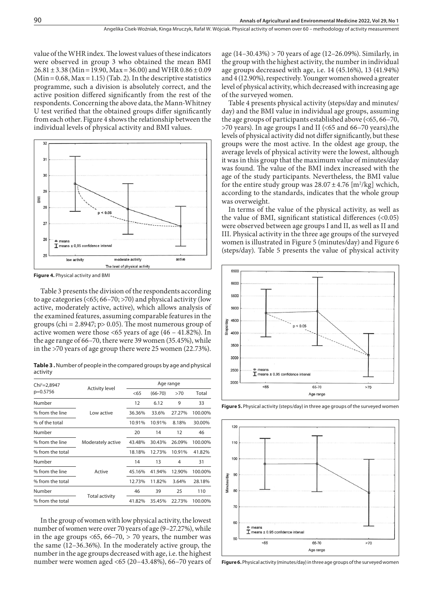value of the WHR index. The lowest values of these indicators were observed in group 3 who obtained the mean BMI  $26.81 \pm 3.38$  (Min = 19.90, Max = 36.00) and WHR  $0.86 \pm 0.09$  $(Min=0.68, Max=1.15)$  (Tab. 2). In the descriptive statistics programme, such a division is absolutely correct, and the active position differed significantly from the rest of the respondents. Concerning the above data, the Mann-Whitney U test verified that the obtained groups differ significantly from each other. Figure 4 shows the relationship between the individual levels of physical activity and BMI values.



**Figure 4.** Physical activity and BMI

Table 3 presents the division of the respondents according to age categories ( $\leq 65$ ; 66–70;  $>70$ ) and physical activity (low active, moderately active, active), which allows analysis of the examined features, assuming comparable features in the groups (chi =  $2.8947$ ; p $> 0.05$ ). The most numerous group of active women were those <65 years of age (46 – 41.82%). In the age range of 66–70, there were 39 women (35.45%), while in the >70 years of age group there were 25 women (22.73%).

**Table 3 .** Number of people in the compared groups by age and physical activity

| <b>Activity level</b> | Age range             |             |        |         |
|-----------------------|-----------------------|-------------|--------|---------|
|                       | < 65                  | $(66 - 70)$ | >70    | Total   |
|                       | 12                    | 6.12        | 9      | 33      |
| Low active            | 36.36%                | 33.6%       | 27.27% | 100.00% |
|                       | 10.91%                | 10.91%      | 8.18%  | 30.00%  |
|                       | 20                    | 14          | 12     | 46      |
| Moderately active     | 43.48%                | 30.43%      | 26.09% | 100.00% |
|                       | 18.18%                | 12.73%      | 10.91% | 41.82%  |
|                       | 14                    | 13          | 4      | 31      |
| Active                | 45.16%                | 41.94%      | 12.90% | 100.00% |
|                       | 12.73%                | 11.82%      | 3.64%  | 28.18%  |
|                       | 46                    | 39          | 25     | 110     |
|                       | 41.82%                | 35.45%      | 22.73% | 100.00% |
|                       | <b>Total activity</b> |             |        |         |

In the group of women with low physical activity, the lowest number of women were over 70 years of age (9–27.27%), while in the age groups  $<65, 66-70, > 70$  years, the number was the same (12–36.36%). In the moderately active group, the number in the age groups decreased with age, i.e. the highest number were women aged <65 (20–43.48%), 66–70 years of age (14–30.43%) > 70 years of age (12–26.09%). Similarly, in the group with the highest activity, the number in individual age groups decreased with age, i.e. 14 (45.16%), 13 (41.94%) and 4 (12.90%), respectively. Younger women showed a greater level of physical activity, which decreased with increasing age of the surveyed women.

Table 4 presents physical activity (steps/day and minutes/ day) and the BMI value in individual age groups, assuming the age groups of participants established above (<65, 66–70, >70 years). In age groups I and II (<65 and 66–70 years),the levels of physical activity did not differ significantly, but these groups were the most active. In the oldest age group, the average levels of physical activity were the lowest, although it was in this group that the maximum value of minutes/day was found. The value of the BMI index increased with the age of the study participants. Nevertheless, the BMI value for the entire study group was  $28.07 \pm 4.76$  [m<sup>2</sup>/kg] wchich, according to the standards, indicates that the whole group was overweight.

In terms of the value of the physical activity, as well as the value of BMI, significant statistical differences (<0.05) were observed between age groups I and II, as well as II and III. Physical activity in the three age groups of the surveyed women is illustrated in Figure 5 (minutes/day) and Figure 6 (steps/day). Table 5 presents the value of physical activity



**Figure 5.** Physical activity (steps/day) in three age groups of the surveyed women



**Figure 6.** Physical activity (minutes/day) in three age groups of the surveyed women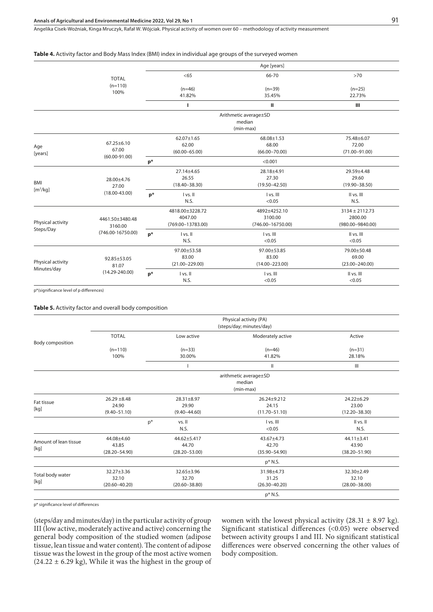Angelika Cisek-Woźniak, Kinga Mruczyk, Rafał W. Wójciak . Physical activity of women over 60 – methodology of activity measurement

#### **Table 4.** Activity factor and Body Mass Index (BMI) index in individual age groups of the surveyed women

|                                    |                                                     | Age [years] |                                                     |                                                  |                                                       |  |
|------------------------------------|-----------------------------------------------------|-------------|-----------------------------------------------------|--------------------------------------------------|-------------------------------------------------------|--|
|                                    | <b>TOTAL</b><br>$(n=110)$<br>100%                   |             | <65                                                 | 66-70                                            | $>70$                                                 |  |
|                                    |                                                     |             | $(n=46)$<br>41.82%                                  | $(n=39)$<br>35.45%                               | $(n=25)$<br>22.73%                                    |  |
|                                    |                                                     |             | ı                                                   | $\mathbf{H}$                                     | Ш                                                     |  |
|                                    |                                                     |             | Arithmetic average±SD<br>median<br>(min-max)        |                                                  |                                                       |  |
| Age<br>[years]                     | $67.25 \pm 6.10$<br>67.00<br>$(60.00 - 91.00)$      |             | $62.07 \pm 1.65$<br>62.00<br>$(60.00 - 65.00)$      | 68.08±1.53<br>68.00<br>$(66.00 - 70.00)$         | 75.48±6.07<br>72.00<br>$(71.00 - 91.00)$              |  |
|                                    |                                                     | $p*$        |                                                     | < 0.001                                          |                                                       |  |
| <b>BMI</b><br>[m <sup>2</sup> /kg] | 28.00±4.76<br>27.00<br>$(18.00 - 43.00)$            |             | 27.14±4.65<br>26.55<br>$(18.40 - 38.30)$            | 28.18±4.91<br>27.30<br>$(19.50 - 42.50)$         | 29.59±4.48<br>29.60<br>$(19.90 - 38.50)$              |  |
|                                    |                                                     | $p*$        | I vs. II<br>N.S.                                    | I vs. III<br>< 0.05                              | II vs. III<br>N.S.                                    |  |
| Physical activity<br>Steps/Day     | 4461.50±3480.48<br>3160.00<br>$(746.00 - 16750.00)$ |             | 4818.00±3228.72<br>4047.00<br>$(769.00 - 13783.00)$ | 4892±4252.10<br>3100.00<br>$(746.00 - 16750.00)$ | $3134 \pm 2112.73$<br>2800.00<br>$(980.00 - 9840.00)$ |  |
|                                    |                                                     | $p*$        | I vs. II<br>N.S.                                    | I vs. III<br>< 0.05                              | II vs. III<br>< 0.05                                  |  |
| Physical activity<br>Minutes/day   | 92.85±53.05<br>81.07<br>$(14.29 - 240.00)$          |             | 97.00±53.58<br>83.00<br>$(21.00 - 229.00)$          | 97.00±53.85<br>83.00<br>$(14.00 - 223.00)$       | 79.00±50.48<br>69.00<br>$(23.00 - 240.00)$            |  |
|                                    |                                                     | $p*$        | I vs. II<br>N.S.                                    | I vs. III<br>< 0.05                              | II vs. III<br>< 0.05                                  |  |

p\*(significance level of p differences)

**Table 5.** Activity factor and overall body composition

|                          | Physical activity (PA)<br>(steps/day; minutes/day) |                       |                   |                   |  |  |  |
|--------------------------|----------------------------------------------------|-----------------------|-------------------|-------------------|--|--|--|
|                          | <b>TOTAL</b>                                       | Low active            | Moderately active | Active            |  |  |  |
| Body composition         |                                                    |                       |                   |                   |  |  |  |
|                          | $(n=110)$                                          | $(n=33)$              | $(n=46)$          | $(n=31)$          |  |  |  |
|                          | 100%                                               | 30.00%                | 41.82%            | 28.18%            |  |  |  |
|                          |                                                    |                       | Ш                 | Ш                 |  |  |  |
|                          |                                                    | arithmetic average±SD |                   |                   |  |  |  |
|                          |                                                    |                       | median            |                   |  |  |  |
|                          |                                                    |                       | (min-max)         |                   |  |  |  |
|                          | $26.29 \pm 8.48$                                   | 28.31±8.97            | $26.24 + 9.212$   | $24.22 \pm 6.29$  |  |  |  |
| Fat tissue               | 24.90                                              | 29.90                 | 24.15             | 23.00             |  |  |  |
| [kg]                     | $(9.40 - 51.10)$                                   | $(9.40 - 44.60)$      | $(11.70 - 51.10)$ | $(12.20 - 38.30)$ |  |  |  |
|                          | $p^*$                                              | vs. II                | I vs. III         | II vs. II         |  |  |  |
|                          |                                                    | N.S.                  | < 0.05            | N.S.              |  |  |  |
| Amount of lean tissue    | 44.08±4.60                                         | 44.62±5.417           | 43.67±4.73        | $44.11 \pm 3.41$  |  |  |  |
|                          | 43.85                                              | 44.70                 | 42.70             | 43.90             |  |  |  |
| [kg]                     | $(28.20 - 54.90)$                                  | $(28.20 - 53.00)$     | $(35.90 - 54.90)$ | $(38.20 - 51.90)$ |  |  |  |
|                          |                                                    |                       | p* N.S.           |                   |  |  |  |
|                          | $32.27 \pm 3.36$                                   | 32.65±3.96            | 31.98±4.73        | 32.30±2.49        |  |  |  |
| Total body water<br>[kg] | 32.10                                              | 32.70                 | 31.25             | 32.10             |  |  |  |
|                          | $(20.60 - 40.20)$                                  | $(20.60 - 38.80)$     | $(26.30 - 40.20)$ | $(28.00 - 38.00)$ |  |  |  |
|                          |                                                    |                       | p* N.S.           |                   |  |  |  |

p\* significance level of differences

(steps/day and minutes/day) in the particular activity of group III (low active, moderately active and active) concerning the general body composition of the studied women (adipose tissue, lean tissue and water content). The content of adipose tissue was the lowest in the group of the most active women  $(24.22 \pm 6.29 \text{ kg})$ , While it was the highest in the group of

women with the lowest physical activity  $(28.31 \pm 8.97 \text{ kg})$ . Significant statistical differences (<0.05) were observed between activity groups I and III. No significant statistical differences were observed concerning the other values of body composition.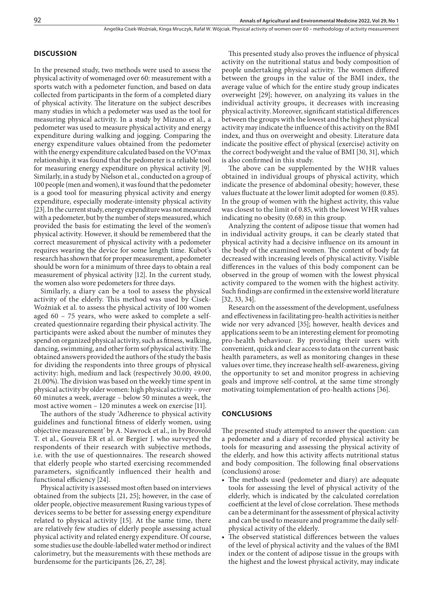### **DISCUSSION**

In the presened study, two methods were used to assess the physical activity of womenaged over 60: measurement with a sports watch with a pedometer function, and based on data collected from participants in the form of a completed diary of physical activity. The literature on the subject describes many studies in which a pedometer was used as the tool for measuring physical activity. In a study by Mizuno et al., a pedometer was used to measure physical activity and energy expenditure during walking and jogging. Comparing the energy expenditure values obtained from the pedometer with the energy expenditure calculated based on the  $\rm VO^2max$ relationship, it was found that the pedometer is a reliable tool for measuring energy expenditure on physical activity [9]. Similarly, in a study by Nielson et al., conducted on a group of 100 people (men and women), it was found that the pedometer is a good tool for measuring physical activity and energy expenditure, especially moderate-intensity physical activity [23]. In the current study, energy expenditure was not measured with a pedometer, but by the number of steps measured, which provided the basis for estimating the level of the women's physical activity. However, it should be remembered that the correct measurement of physical activity with a pedometer requires wearing the device for some length time. Kubot's research has shown that for proper measurement, a pedometer should be worn for a minimum of three days to obtain a real measurement of physical activity [12]. In the current study, the women also wore pedometers for three days.

Similarly, a diary can be a tool to assess the physical activity of the elderly. This method was used by Cisek-Woźniak et al. to assess the physical activity of 100 women aged 60 – 75 years, who were asked to complete a selfcreated questionnaire regarding their physical activity. The participants were asked about the number of minutes they spend on organized physical activity, such as fitness, walking, dancing, swimming, and other form sof physical activity. The obtained answers provided the authors of the study the basis for dividing the respondents into three groups of physical activity: high, medium and lack (respectively 30.00, 49.00, 21.00%). The division was based on the weekly time spent in physical activity by older women: high physical activity – over 60 minutes a week, average – below 50 minutes a week, the most active women – 120 minutes a week on exercise [11].

The authors of the study 'Adherence to physical activity guidelines and functional fitness of elderly women, using objective measurement' by A. Nawrock et al., in by Brovold T. et al., Gouveia ER et al. or Bergier J. who surveyed the respondents of their research with subjective methods, i.e. with the use of questionnaires. The research showed that elderly people who started exercising recommended parameters, significantly influenced their health and functional efficiency [24].

Physical activity is assessed most often based on interviews obtained from the subjects [21, 25]; however, in the case of older people, objective measurement Rusing various types of devices seems to be better for assessing energy expenditure related to physical activity [15]. At the same time, there are relatively few studies of elderly people assessing actual physical activity and related energy expenditure. Of course, some studies use the double-labelled water method or indirect calorimetry, but the measurements with these methods are burdensome for the participants [26, 27, 28].

This presented study also proves the influence of physical activity on the nutritional status and body composition of people undertaking physical activity. The women differed between the groups in the value of the BMI index, the average value of which for the entire study group indicates overweight [29]; however, on analyzing its values in the individual activity groups, it decreases with increasing physical activity. Moreover, significant statistical differences between the groups with the lowest and the highest physical activity may indicate the influence of this activity on the BMI index, and thus on overweight and obesity. Literature data indicate the positive effect of physical (exercise) activity on the correct bodyweight and the value of BMI [30, 31], which is also confirmed in this study.

The above can be supplemented by the WHR values obtained in individual groups of physical activity, which indicate the presence of abdominal obesity; however, these values fluctuate at the lower limit adopted for women (0.85). In the group of women with the highest activity, this value was closest to the limit of 0.85, with the lowest WHR values indicating no obesity (0.68) in this group.

Analyzing the content of adipose tissue that women had in individual activity groups, it can be clearly stated that physical activity had a decisive influence on its amount in the body of the examined women. The content of body fat decreased with increasing levels of physical activity. Visible differences in the values of this body component can be observed in the group of women with the lowest physical activity compared to the women with the highest activity. Such findings are confirmed in the extensive world literature [32, 33, 34].

Research on the assessment of the development, usefulness and effectiveness in facilitating pro-health activities is neither wide nor very advanced [35]; however, health devices and applications seem to be an interesting element for promoting pro-health behaviour. By providing their users with convenient, quick and clear access to data on the current basic health parameters, as well as monitoring changes in these values over time, they increase health self-awareness, giving the opportunity to set and monitor progress in achieving goals and improve self-control, at the same time strongly motivating toimplementation of pro-health actions [36].

#### **CONCLUSIONS**

The presented study attempted to answer the question: can a pedometer and a diary of recorded physical activity be tools for measuring and assessing the physical activity of the elderly, and how this activity affects nutritional status and body composition. The following final observations (conclusions) arose:

- The methods used (pedometer and diary) are adequate tools for assessing the level of physical activity of the elderly, which is indicated by the calculated correlation coefficient at the level of close correlation. These methods can be a determinant for the assessment of physical activity and can be used to measure and programme the daily selfphysical activity of the elderly.
- The observed statistical differences between the values of the level of physical activity and the values of the BMI index or the content of adipose tissue in the groups with the highest and the lowest physical activity, may indicate